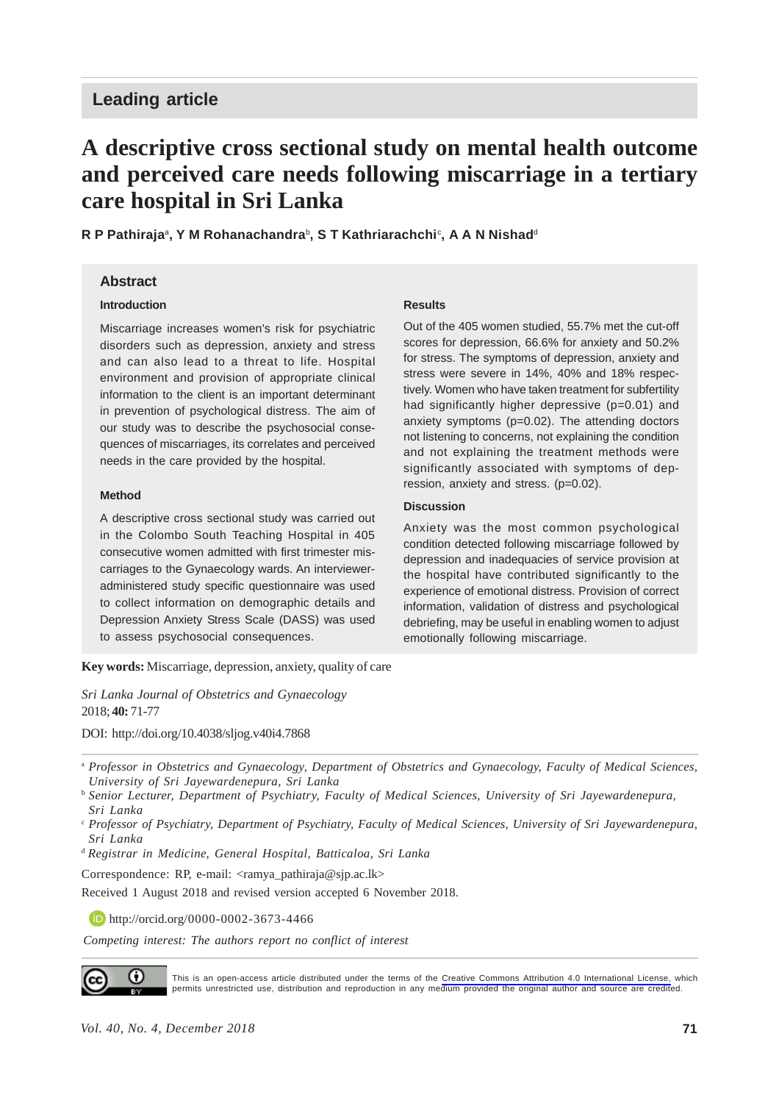## **Leading article**

# **A descriptive cross sectional study on mental health outcome and perceived care needs following miscarriage in a tertiary care hospital in Sri Lanka**

**R P Pathiraja**<sup>a</sup> **, Y M Rohanachandra**<sup>b</sup> **, S T Kathriarachchi**<sup>c</sup> **, A A N Nishad**<sup>d</sup>

### **Abstract**

#### **Introduction**

Miscarriage increases women's risk for psychiatric disorders such as depression, anxiety and stress and can also lead to a threat to life. Hospital environment and provision of appropriate clinical information to the client is an important determinant in prevention of psychological distress. The aim of our study was to describe the psychosocial consequences of miscarriages, its correlates and perceived needs in the care provided by the hospital.

#### **Method**

A descriptive cross sectional study was carried out in the Colombo South Teaching Hospital in 405 consecutive women admitted with first trimester miscarriages to the Gynaecology wards. An intervieweradministered study specific questionnaire was used to collect information on demographic details and Depression Anxiety Stress Scale (DASS) was used to assess psychosocial consequences.

#### **Results**

Out of the 405 women studied, 55.7% met the cut-off scores for depression, 66.6% for anxiety and 50.2% for stress. The symptoms of depression, anxiety and stress were severe in 14%, 40% and 18% respectively. Women who have taken treatment for subfertility had significantly higher depressive (p=0.01) and anxiety symptoms (p=0.02). The attending doctors not listening to concerns, not explaining the condition and not explaining the treatment methods were significantly associated with symptoms of depression, anxiety and stress. (p=0.02).

#### **Discussion**

Anxiety was the most common psychological condition detected following miscarriage followed by depression and inadequacies of service provision at the hospital have contributed significantly to the experience of emotional distress. Provision of correct information, validation of distress and psychological debriefing, may be useful in enabling women to adjust emotionally following miscarriage.

**Key words:** Miscarriage, depression, anxiety, quality of care

*Sri Lanka Journal of Obstetrics and Gynaecology* 2018; **40:** 71-77

DOI: http://doi.org/10.4038/sljog.v40i4.7868

<sup>d</sup>*Registrar in Medicine, General Hospital, Batticaloa, Sri Lanka*

Correspondence: RP, e-mail: <ramya\_pathiraja@sjp.ac.lk>

Received 1 August 2018 and revised version accepted 6 November 2018.

**http://orcid.org/0000-0002-3673-4466** 

*Competing interest: The authors report no conflict of interest*



This is an open-access article distributed under the terms of the [Creative Commons Attribution 4.0 International License,](https://creativecommons.org/licenses/by/4.0/) which permits unrestricted use, distribution and reproduction in any medium provided the original author and source are credited.

<sup>a</sup> *Professor in Obstetrics and Gynaecology, Department of Obstetrics and Gynaecology, Faculty of Medical Sciences, University of Sri Jayewardenepura, Sri Lanka*

<sup>b</sup> *Senior Lecturer, Department of Psychiatry, Faculty of Medical Sciences, University of Sri Jayewardenepura, Sri Lanka*

<sup>c</sup> *Professor of Psychiatry, Department of Psychiatry, Faculty of Medical Sciences, University of Sri Jayewardenepura, Sri Lanka*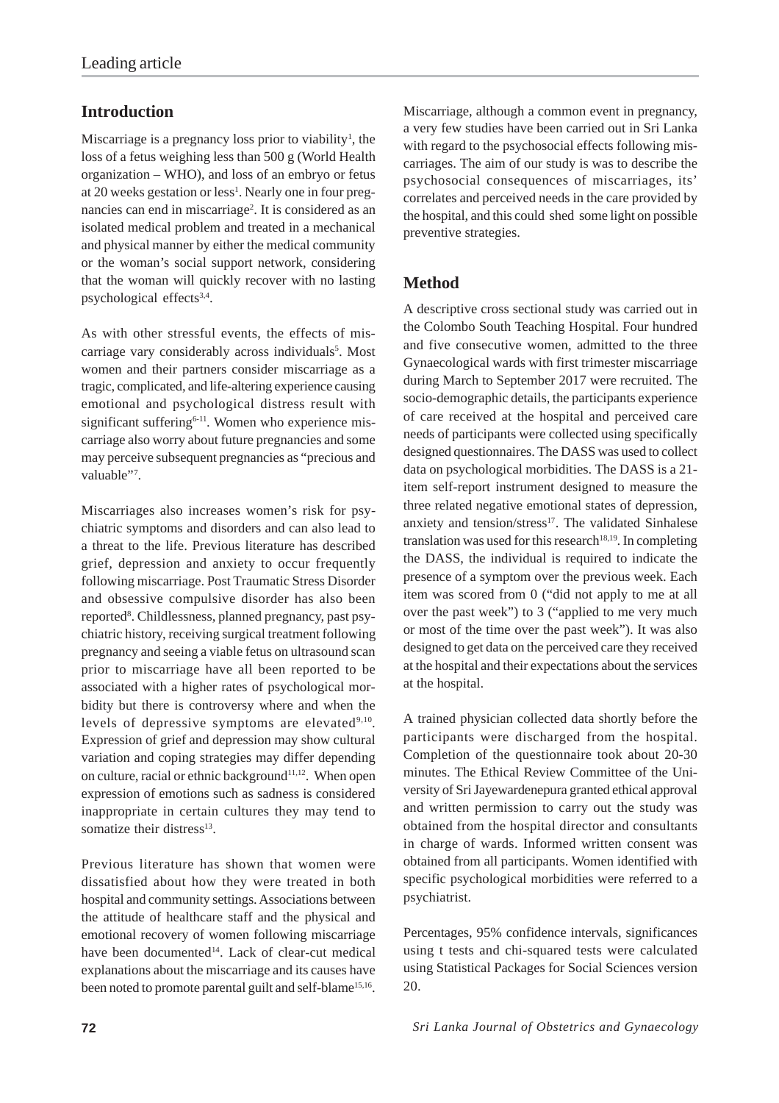# **Introduction**

Miscarriage is a pregnancy loss prior to viability<sup>1</sup>, the loss of a fetus weighing less than 500 g (World Health organization – WHO), and loss of an embryo or fetus at 20 weeks gestation or less<sup>1</sup>. Nearly one in four pregnancies can end in miscarriage<sup>2</sup>. It is considered as an isolated medical problem and treated in a mechanical and physical manner by either the medical community or the woman's social support network, considering that the woman will quickly recover with no lasting psychological effects<sup>3,4</sup>.

As with other stressful events, the effects of miscarriage vary considerably across individuals<sup>5</sup>. Most women and their partners consider miscarriage as a tragic, complicated, and life-altering experience causing emotional and psychological distress result with significant suffering $6-11$ . Women who experience miscarriage also worry about future pregnancies and some may perceive subsequent pregnancies as "precious and valuable"<sup>7</sup>.

Miscarriages also increases women's risk for psychiatric symptoms and disorders and can also lead to a threat to the life. Previous literature has described grief, depression and anxiety to occur frequently following miscarriage. Post Traumatic Stress Disorder and obsessive compulsive disorder has also been reported<sup>8</sup>. Childlessness, planned pregnancy, past psychiatric history, receiving surgical treatment following pregnancy and seeing a viable fetus on ultrasound scan prior to miscarriage have all been reported to be associated with a higher rates of psychological morbidity but there is controversy where and when the levels of depressive symptoms are elevated $9,10$ . Expression of grief and depression may show cultural variation and coping strategies may differ depending on culture, racial or ethnic background<sup>11,12</sup>. When open expression of emotions such as sadness is considered inappropriate in certain cultures they may tend to somatize their distress<sup>13</sup>.

Previous literature has shown that women were dissatisfied about how they were treated in both hospital and community settings. Associations between the attitude of healthcare staff and the physical and emotional recovery of women following miscarriage have been documented<sup>14</sup>. Lack of clear-cut medical explanations about the miscarriage and its causes have been noted to promote parental guilt and self-blame<sup>15,16</sup>. Miscarriage, although a common event in pregnancy, a very few studies have been carried out in Sri Lanka with regard to the psychosocial effects following miscarriages. The aim of our study is was to describe the psychosocial consequences of miscarriages, its' correlates and perceived needs in the care provided by the hospital, and this could shed some light on possible preventive strategies.

### **Method**

A descriptive cross sectional study was carried out in the Colombo South Teaching Hospital. Four hundred and five consecutive women, admitted to the three Gynaecological wards with first trimester miscarriage during March to September 2017 were recruited. The socio-demographic details, the participants experience of care received at the hospital and perceived care needs of participants were collected using specifically designed questionnaires. The DASS was used to collect data on psychological morbidities. The DASS is a 21 item self-report instrument designed to measure the three related negative emotional states of depression, anxiety and tension/stress<sup>17</sup>. The validated Sinhalese translation was used for this research<sup>18,19</sup>. In completing the DASS, the individual is required to indicate the presence of a symptom over the previous week. Each item was scored from 0 ("did not apply to me at all over the past week") to 3 ("applied to me very much or most of the time over the past week"). It was also designed to get data on the perceived care they received at the hospital and their expectations about the services at the hospital.

A trained physician collected data shortly before the participants were discharged from the hospital. Completion of the questionnaire took about 20-30 minutes. The Ethical Review Committee of the University of Sri Jayewardenepura granted ethical approval and written permission to carry out the study was obtained from the hospital director and consultants in charge of wards. Informed written consent was obtained from all participants. Women identified with specific psychological morbidities were referred to a psychiatrist.

Percentages, 95% confidence intervals, significances using t tests and chi-squared tests were calculated using Statistical Packages for Social Sciences version 20.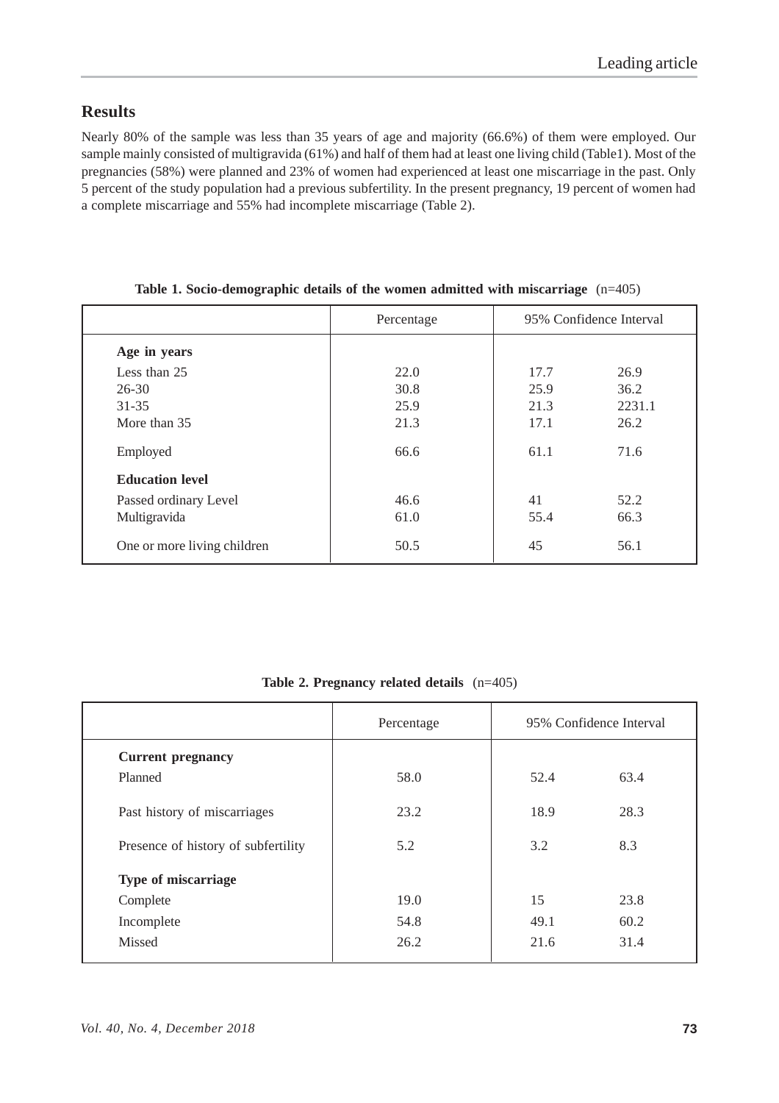## **Results**

Nearly 80% of the sample was less than 35 years of age and majority (66.6%) of them were employed. Our sample mainly consisted of multigravida (61%) and half of them had at least one living child (Table1). Most of the pregnancies (58%) were planned and 23% of women had experienced at least one miscarriage in the past. Only 5 percent of the study population had a previous subfertility. In the present pregnancy, 19 percent of women had a complete miscarriage and 55% had incomplete miscarriage (Table 2).

|                             | Percentage | 95% Confidence Interval |        |
|-----------------------------|------------|-------------------------|--------|
| Age in years                |            |                         |        |
| Less than 25                | 22.0       | 17.7                    | 26.9   |
| $26 - 30$                   | 30.8       | 25.9                    | 36.2   |
| $31 - 35$                   | 25.9       | 21.3                    | 2231.1 |
| More than 35                | 21.3       | 17.1                    | 26.2   |
| Employed                    | 66.6       | 61.1                    | 71.6   |
| <b>Education level</b>      |            |                         |        |
| Passed ordinary Level       | 46.6       | 41                      | 52.2   |
| Multigravida                | 61.0       | 55.4                    | 66.3   |
| One or more living children | 50.5       | 45                      | 56.1   |

|  | Table 1. Socio-demographic details of the women admitted with miscarriage $(n=405)$ |  |  |  |  |
|--|-------------------------------------------------------------------------------------|--|--|--|--|
|  |                                                                                     |  |  |  |  |

| Table 2. Pregnancy related details $(n=405)$ |  |  |  |
|----------------------------------------------|--|--|--|
|----------------------------------------------|--|--|--|

|                                     | Percentage | 95% Confidence Interval |      |
|-------------------------------------|------------|-------------------------|------|
| <b>Current pregnancy</b>            |            |                         |      |
| Planned                             | 58.0       | 52.4                    | 63.4 |
| Past history of miscarriages        | 23.2       | 18.9                    | 28.3 |
| Presence of history of subfertility | 5.2        | 3.2                     | 8.3  |
| <b>Type of miscarriage</b>          |            |                         |      |
| Complete                            | 19.0       | 15                      | 23.8 |
| Incomplete                          | 54.8       | 49.1                    | 60.2 |
| Missed                              | 26.2       | 21.6                    | 31.4 |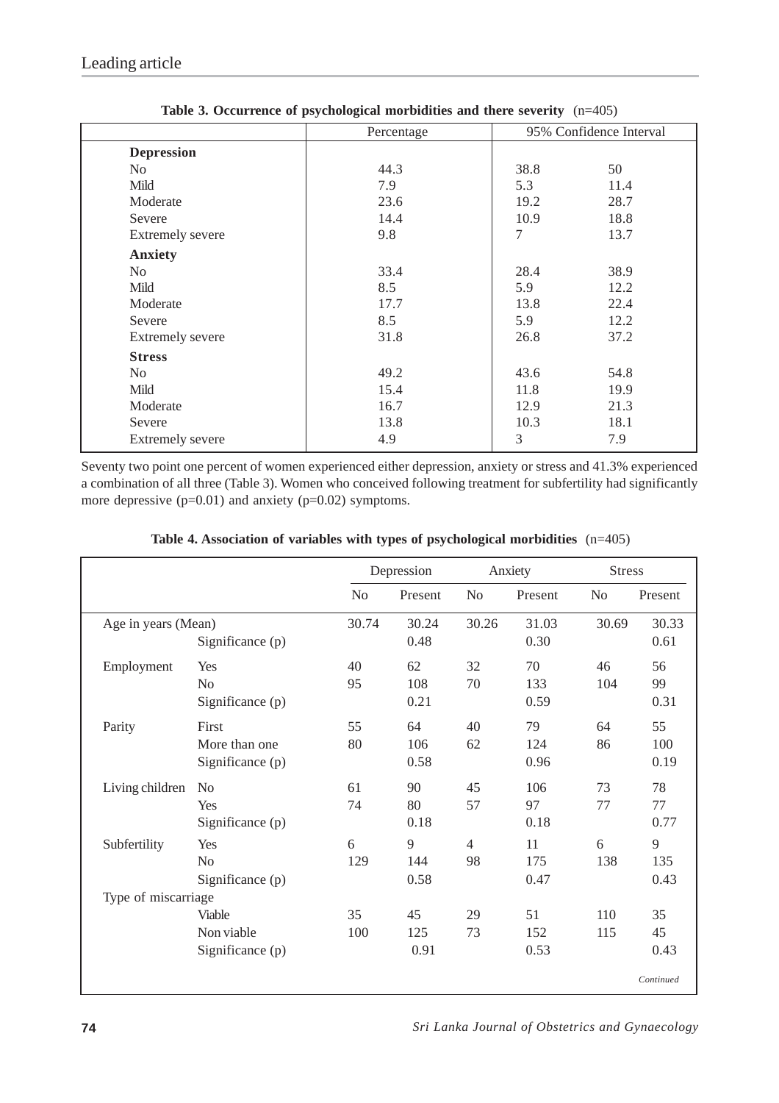|                         | Percentage |        | 95% Confidence Interval |
|-------------------------|------------|--------|-------------------------|
| <b>Depression</b>       |            |        |                         |
| No.                     | 44.3       | 38.8   | 50                      |
| Mild                    | 7.9        | 5.3    | 11.4                    |
| Moderate                | 23.6       | 19.2   | 28.7                    |
| Severe                  | 14.4       | 10.9   | 18.8                    |
| <b>Extremely severe</b> | 9.8        | $\tau$ | 13.7                    |
| <b>Anxiety</b>          |            |        |                         |
| No                      | 33.4       | 28.4   | 38.9                    |
| Mild                    | 8.5        | 5.9    | 12.2                    |
| Moderate                | 17.7       | 13.8   | 22.4                    |
| Severe                  | 8.5        | 5.9    | 12.2                    |
| <b>Extremely severe</b> | 31.8       | 26.8   | 37.2                    |
| <b>Stress</b>           |            |        |                         |
| No                      | 49.2       | 43.6   | 54.8                    |
| Mild                    | 15.4       | 11.8   | 19.9                    |
| Moderate                | 16.7       | 12.9   | 21.3                    |
| Severe                  | 13.8       | 10.3   | 18.1                    |
| <b>Extremely severe</b> | 4.9        | 3      | 7.9                     |
|                         |            |        |                         |

**Table 3. Occurrence of psychological morbidities and there severity** (n=405)

Seventy two point one percent of women experienced either depression, anxiety or stress and 41.3% experienced a combination of all three (Table 3). Women who conceived following treatment for subfertility had significantly more depressive (p=0.01) and anxiety (p=0.02) symptoms.

|                     |                  | Depression     |         | Anxiety        |         | <b>Stress</b>  |           |
|---------------------|------------------|----------------|---------|----------------|---------|----------------|-----------|
|                     |                  | N <sub>o</sub> | Present | N <sub>o</sub> | Present | N <sub>o</sub> | Present   |
| Age in years (Mean) |                  | 30.74          | 30.24   | 30.26          | 31.03   | 30.69          | 30.33     |
|                     | Significance (p) |                | 0.48    |                | 0.30    |                | 0.61      |
| Employment          | Yes              | 40             | 62      | 32             | 70      | 46             | 56        |
|                     | N <sub>0</sub>   | 95             | 108     | 70             | 133     | 104            | 99        |
|                     | Significance (p) |                | 0.21    |                | 0.59    |                | 0.31      |
| Parity              | First            | 55             | 64      | 40             | 79      | 64             | 55        |
|                     | More than one    | 80             | 106     | 62             | 124     | 86             | 100       |
|                     | Significance (p) |                | 0.58    |                | 0.96    |                | 0.19      |
| Living children     | N <sub>0</sub>   | 61             | 90      | 45             | 106     | 73             | 78        |
|                     | Yes              | 74             | 80      | 57             | 97      | 77             | 77        |
|                     | Significance (p) |                | 0.18    |                | 0.18    |                | 0.77      |
| Subfertility        | Yes              | 6              | 9       | $\overline{4}$ | 11      | 6              | 9         |
|                     | N <sub>0</sub>   | 129            | 144     | 98             | 175     | 138            | 135       |
|                     | Significance (p) |                | 0.58    |                | 0.47    |                | 0.43      |
| Type of miscarriage |                  |                |         |                |         |                |           |
|                     | Viable           | 35             | 45      | 29             | 51      | 110            | 35        |
|                     | Non viable       | 100            | 125     | 73             | 152     | 115            | 45        |
|                     | Significance (p) |                | 0.91    |                | 0.53    |                | 0.43      |
|                     |                  |                |         |                |         |                | Continued |

**Table 4. Association of variables with types of psychological morbidities** (n=405)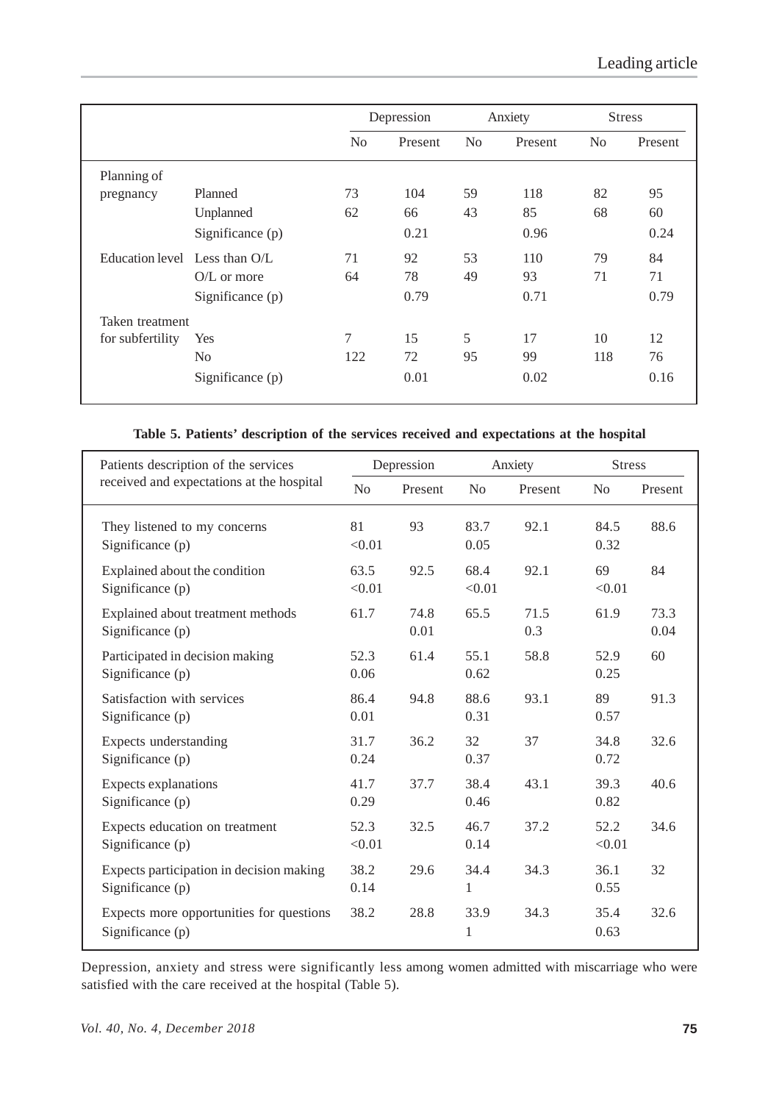|                               |                  | Depression     |         | Anxiety        |         |                | <b>Stress</b> |
|-------------------------------|------------------|----------------|---------|----------------|---------|----------------|---------------|
|                               |                  | N <sub>0</sub> | Present | N <sub>0</sub> | Present | N <sub>0</sub> | Present       |
| Planning of                   |                  |                |         |                |         |                |               |
| pregnancy                     | Planned          | 73             | 104     | 59             | 118     | 82             | 95            |
|                               | Unplanned        | 62             | 66      | 43             | 85      | 68             | 60            |
|                               | Significance (p) |                | 0.21    |                | 0.96    |                | 0.24          |
| Education level Less than O/L |                  | 71             | 92      | 53             | 110     | 79             | 84            |
|                               | $O/L$ or more    | 64             | 78      | 49             | 93      | 71             | 71            |
|                               | Significance (p) |                | 0.79    |                | 0.71    |                | 0.79          |
| Taken treatment               |                  |                |         |                |         |                |               |
| for subfertility              | Yes              | 7              | 15      | 5              | 17      | 10             | 12            |
|                               | N <sub>o</sub>   | 122            | 72      | 95             | 99      | 118            | 76            |
|                               | Significance (p) |                | 0.01    |                | 0.02    |                | 0.16          |

### **Table 5. Patients' description of the services received and expectations at the hospital**

| Patients description of the services                         |                | Depression   | Anxiety        |             | <b>Stress</b>  |              |
|--------------------------------------------------------------|----------------|--------------|----------------|-------------|----------------|--------------|
| received and expectations at the hospital                    | N <sub>o</sub> | Present      | N <sub>o</sub> | Present     | N <sub>o</sub> | Present      |
| They listened to my concerns<br>Significance (p)             | 81<br>< 0.01   | 93           | 83.7<br>0.05   | 92.1        | 84.5<br>0.32   | 88.6         |
| Explained about the condition<br>Significance (p)            | 63.5<br>< 0.01 | 92.5         | 68.4<br>< 0.01 | 92.1        | 69<br>< 0.01   | 84           |
| Explained about treatment methods<br>Significance (p)        | 61.7           | 74.8<br>0.01 | 65.5           | 71.5<br>0.3 | 61.9           | 73.3<br>0.04 |
| Participated in decision making<br>Significance (p)          | 52.3<br>0.06   | 61.4         | 55.1<br>0.62   | 58.8        | 52.9<br>0.25   | 60           |
| Satisfaction with services<br>Significance (p)               | 86.4<br>0.01   | 94.8         | 88.6<br>0.31   | 93.1        | 89<br>0.57     | 91.3         |
| Expects understanding<br>Significance (p)                    | 31.7<br>0.24   | 36.2         | 32<br>0.37     | 37          | 34.8<br>0.72   | 32.6         |
| Expects explanations<br>Significance (p)                     | 41.7<br>0.29   | 37.7         | 38.4<br>0.46   | 43.1        | 39.3<br>0.82   | 40.6         |
| Expects education on treatment<br>Significance (p)           | 52.3<br>< 0.01 | 32.5         | 46.7<br>0.14   | 37.2        | 52.2<br>< 0.01 | 34.6         |
| Expects participation in decision making<br>Significance (p) | 38.2<br>0.14   | 29.6         | 34.4<br>1      | 34.3        | 36.1<br>0.55   | 32           |
| Expects more opportunities for questions<br>Significance (p) | 38.2           | 28.8         | 33.9<br>1      | 34.3        | 35.4<br>0.63   | 32.6         |

Depression, anxiety and stress were significantly less among women admitted with miscarriage who were satisfied with the care received at the hospital (Table 5).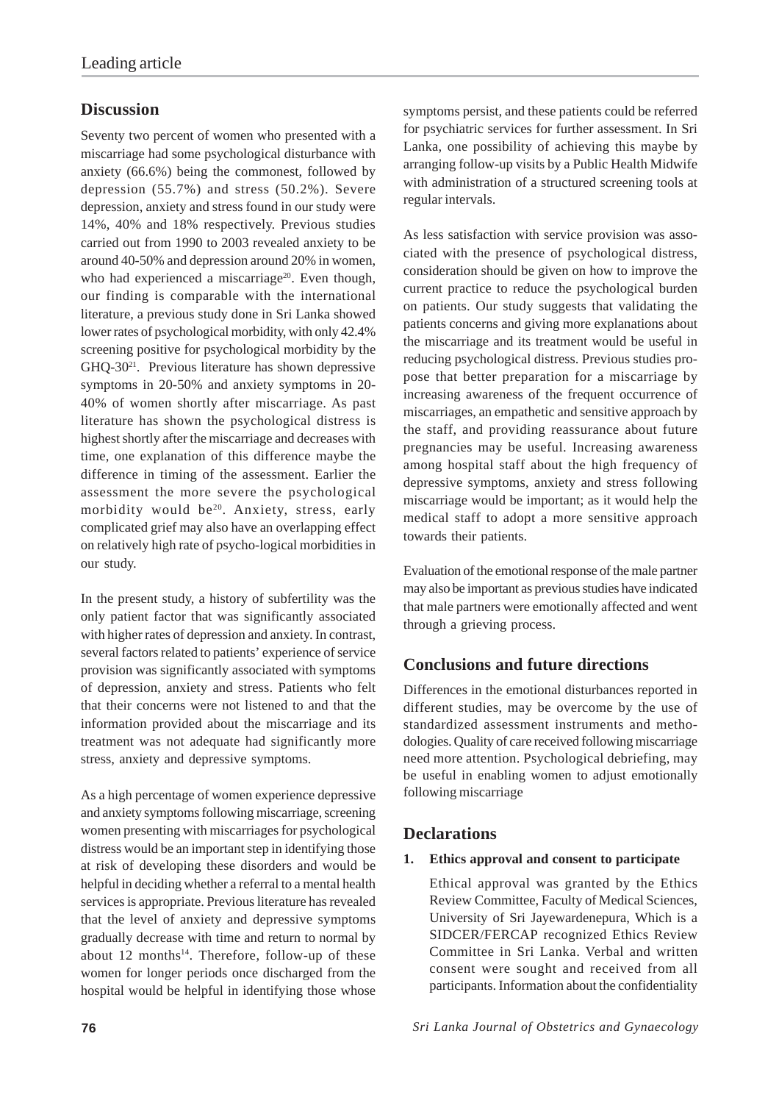# **Discussion**

Seventy two percent of women who presented with a miscarriage had some psychological disturbance with anxiety (66.6%) being the commonest, followed by depression (55.7%) and stress (50.2%). Severe depression, anxiety and stress found in our study were 14%, 40% and 18% respectively. Previous studies carried out from 1990 to 2003 revealed anxiety to be around 40-50% and depression around 20% in women, who had experienced a miscarriage<sup>20</sup>. Even though, our finding is comparable with the international literature, a previous study done in Sri Lanka showed lower rates of psychological morbidity, with only 42.4% screening positive for psychological morbidity by the GHQ-3021. Previous literature has shown depressive symptoms in 20-50% and anxiety symptoms in 20- 40% of women shortly after miscarriage. As past literature has shown the psychological distress is highest shortly after the miscarriage and decreases with time, one explanation of this difference maybe the difference in timing of the assessment. Earlier the assessment the more severe the psychological morbidity would be<sup>20</sup>. Anxiety, stress, early complicated grief may also have an overlapping effect on relatively high rate of psycho-logical morbidities in our study.

In the present study, a history of subfertility was the only patient factor that was significantly associated with higher rates of depression and anxiety. In contrast, several factors related to patients' experience of service provision was significantly associated with symptoms of depression, anxiety and stress. Patients who felt that their concerns were not listened to and that the information provided about the miscarriage and its treatment was not adequate had significantly more stress, anxiety and depressive symptoms.

As a high percentage of women experience depressive and anxiety symptoms following miscarriage, screening women presenting with miscarriages for psychological distress would be an important step in identifying those at risk of developing these disorders and would be helpful in deciding whether a referral to a mental health services is appropriate. Previous literature has revealed that the level of anxiety and depressive symptoms gradually decrease with time and return to normal by about  $12$  months<sup>14</sup>. Therefore, follow-up of these women for longer periods once discharged from the hospital would be helpful in identifying those whose

symptoms persist, and these patients could be referred for psychiatric services for further assessment. In Sri Lanka, one possibility of achieving this maybe by arranging follow-up visits by a Public Health Midwife with administration of a structured screening tools at regular intervals.

As less satisfaction with service provision was associated with the presence of psychological distress, consideration should be given on how to improve the current practice to reduce the psychological burden on patients. Our study suggests that validating the patients concerns and giving more explanations about the miscarriage and its treatment would be useful in reducing psychological distress. Previous studies propose that better preparation for a miscarriage by increasing awareness of the frequent occurrence of miscarriages, an empathetic and sensitive approach by the staff, and providing reassurance about future pregnancies may be useful. Increasing awareness among hospital staff about the high frequency of depressive symptoms, anxiety and stress following miscarriage would be important; as it would help the medical staff to adopt a more sensitive approach towards their patients.

Evaluation of the emotional response of the male partner may also be important as previous studies have indicated that male partners were emotionally affected and went through a grieving process.

# **Conclusions and future directions**

Differences in the emotional disturbances reported in different studies, may be overcome by the use of standardized assessment instruments and methodologies. Quality of care received following miscarriage need more attention. Psychological debriefing, may be useful in enabling women to adjust emotionally following miscarriage

### **Declarations**

### **1. Ethics approval and consent to participate**

Ethical approval was granted by the Ethics Review Committee, Faculty of Medical Sciences, University of Sri Jayewardenepura, Which is a SIDCER/FERCAP recognized Ethics Review Committee in Sri Lanka. Verbal and written consent were sought and received from all participants. Information about the confidentiality